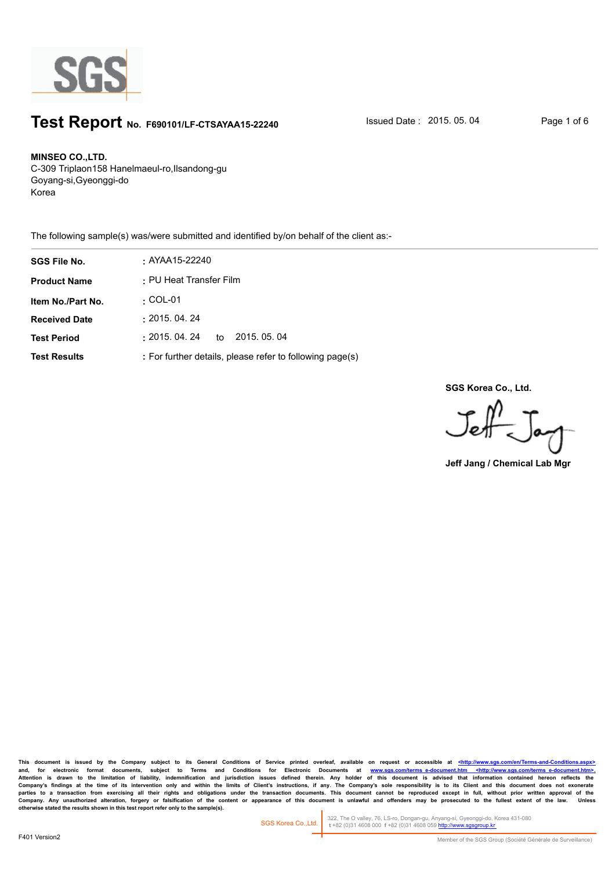

## **Test Report** No. F690101/LF-CTSAYAA15-22240 **Issued Date : 2015. 05. 04** Page 1 of 6

#### **MINSEO CO.,LTD.**

C-309 Triplaon158 Hanelmaeul-ro,Ilsandong-gu Goyang-si,Gyeonggi-do Korea

The following sample(s) was/were submitted and identified by/on behalf of the client as:-

| <b>SGS File No.</b>  | : AYAA15-22240                                           |
|----------------------|----------------------------------------------------------|
| <b>Product Name</b>  | : PU Heat Transfer Film                                  |
| Item No./Part No.    | $\cdot$ COL-01                                           |
| <b>Received Date</b> | : 2015.04.24                                             |
| <b>Test Period</b>   | :2015. 04. 24<br>2015, 05, 04<br>to                      |
| <b>Test Results</b>  | : For further details, please refer to following page(s) |

**SGS Korea Co., Ltd.**

Jeff  $=$  Tay

**Jeff Jang / Chemical Lab Mgr**

This document is issued by the Company subject to its General Conditions of Service printed overleaf, available on request or accessible at <http://www.sgs.com/en/Terms-and-C and, for electronic format documents, subject to Terms and Conditions for Electronic Documents at <u>www.sgs.com/terms\_e-document.htm <http://www.sgs.com/terms\_e-document.htm>-</u><br>Attention is drawn to the limitation of liabil Company's findings at the time of its intervention only and within the limits of Client's instructions, if any. The Company's sole responsibility is to its Client and this document does not exonerate<br>parties to a transacti Company. Any unauthorized alteration, forgery or falsification of the content or appearance of this document is unlawful and offenders may be prosecuted to the fullest extent of the law. Unless otherwise stated the results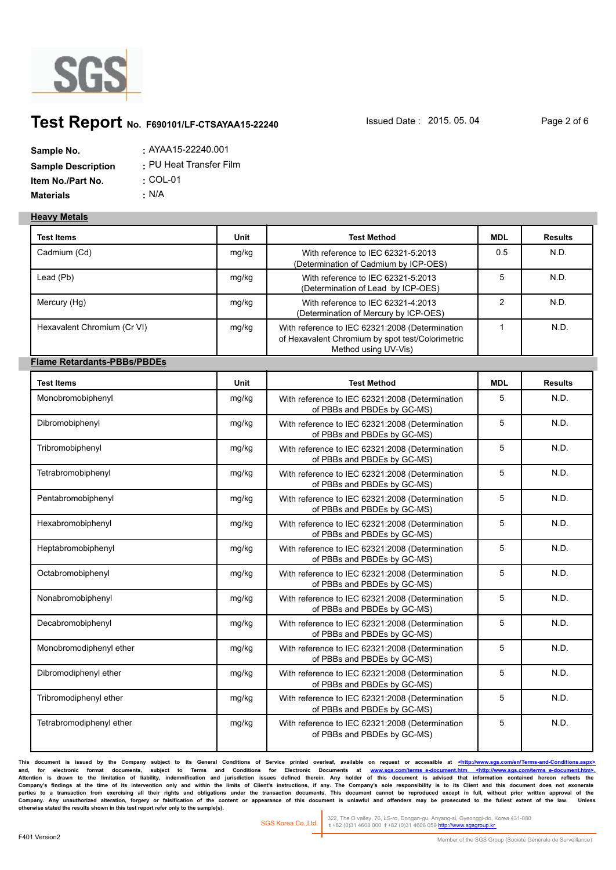

# **Test Report** No. F690101/LF-CTSAYAA15-22240 **Issued Date : 2015. 05. 04** Page 2 of 6

| Sample No.                | $:$ AYAA15-22240.001    |
|---------------------------|-------------------------|
| <b>Sample Description</b> | : PU Heat Transfer Film |
| Item No./Part No.         | $\cdot$ COL-01          |
| <b>Materials</b>          | • N/A                   |

#### **Heavy Metals**

| <b>Test Items</b>                  | <b>Unit</b> | <b>Test Method</b>                                                                                                          | <b>MDL</b>     | <b>Results</b> |
|------------------------------------|-------------|-----------------------------------------------------------------------------------------------------------------------------|----------------|----------------|
| Cadmium (Cd)                       | mg/kg       | With reference to IEC 62321-5:2013<br>(Determination of Cadmium by ICP-OES)                                                 | 0.5            | N.D.           |
| Lead (Pb)                          | mg/kg       | With reference to IEC 62321-5:2013<br>(Determination of Lead by ICP-OES)                                                    | 5              | N.D.           |
| Mercury (Hg)                       | mg/kg       | With reference to IEC 62321-4:2013<br>(Determination of Mercury by ICP-OES)                                                 | $\overline{2}$ | N.D.           |
| Hexavalent Chromium (Cr VI)        | mg/kg       | With reference to IEC 62321:2008 (Determination<br>of Hexavalent Chromium by spot test/Colorimetric<br>Method using UV-Vis) | $\mathbf{1}$   | N.D.           |
| <b>Flame Retardants-PBBs/PBDEs</b> |             |                                                                                                                             |                |                |
| <b>Test Items</b>                  | <b>Unit</b> | <b>Test Method</b>                                                                                                          | <b>MDL</b>     | <b>Results</b> |
| Monobromobiphenyl                  | mg/kg       | With reference to IEC 62321:2008 (Determination<br>of PBBs and PBDEs by GC-MS)                                              | 5              | N.D.           |
| Dibromobiphenyl                    | mg/kg       | With reference to IEC 62321:2008 (Determination<br>of PBBs and PBDEs by GC-MS)                                              | 5              | N.D.           |
| Tribromobiphenyl                   | mg/kg       | With reference to IEC 62321:2008 (Determination<br>of PBBs and PBDEs by GC-MS)                                              | 5              | N.D.           |
| Tetrabromobiphenyl                 | mg/kg       | With reference to IEC 62321:2008 (Determination<br>of PBBs and PBDEs by GC-MS)                                              | 5              | N.D.           |
| Pentabromobiphenyl                 | mg/kg       | With reference to IEC 62321:2008 (Determination<br>of PBBs and PBDEs by GC-MS)                                              | 5              | N.D.           |
| Hexabromobiphenyl                  | mg/kg       | With reference to IEC 62321:2008 (Determination<br>of PBBs and PBDEs by GC-MS)                                              | 5              | N.D.           |
| Heptabromobiphenyl                 | mg/kg       | With reference to IEC 62321:2008 (Determination<br>of PBBs and PBDEs by GC-MS)                                              | 5              | N.D.           |
| Octabromobiphenyl                  | mg/kg       | With reference to IEC 62321:2008 (Determination<br>of PBBs and PBDEs by GC-MS)                                              | 5              | N.D.           |
| Nonabromobiphenyl                  | mg/kg       | With reference to IEC 62321:2008 (Determination<br>of PBBs and PBDEs by GC-MS)                                              | 5              | N.D.           |
| Decabromobiphenyl                  | mg/kg       | With reference to IEC 62321:2008 (Determination<br>of PBBs and PBDEs by GC-MS)                                              | 5              | N.D.           |
| Monobromodiphenyl ether            | mg/kg       | With reference to IEC 62321:2008 (Determination<br>of PBBs and PBDEs by GC-MS)                                              | 5              | N.D.           |
| Dibromodiphenyl ether              | mg/kg       | With reference to IEC 62321:2008 (Determination<br>of PBBs and PBDEs by GC-MS)                                              | 5              | N.D.           |
| Tribromodiphenyl ether             | mg/kg       | With reference to IEC 62321:2008 (Determination<br>of PBBs and PBDEs by GC-MS)                                              | 5              | N.D.           |
| Tetrabromodiphenyl ether           | mg/kg       | With reference to IEC 62321:2008 (Determination<br>of PBBs and PBDEs by GC-MS)                                              | 5              | N.D.           |

This document is issued by the Company subject to its General Conditions of Service printed overleaf, available on request or accessible at <u><http://www.sgs.com/en/Terms-and-Co</u> and, for electronic format documents, subject to Terms and Conditions for Electronic Documents at <u>www.sgs.com/terms\_e-document.htm <http://www.sgs.com/terms\_e-document.htm>-</u><br>Attention is drawn to the limitation of liabil Company's findings at the time of its intervention only and within the limits of Client's instructions, if any. The Company's sole responsibility is to its Client and this document does not exonerate<br>parties to a transacti Company. Any unauthorized alteration, forgery or falsification of the content or appearance of this document is unlawful and offenders may be prosecuted to the fullest extent of the law. Unless otherwise stated the results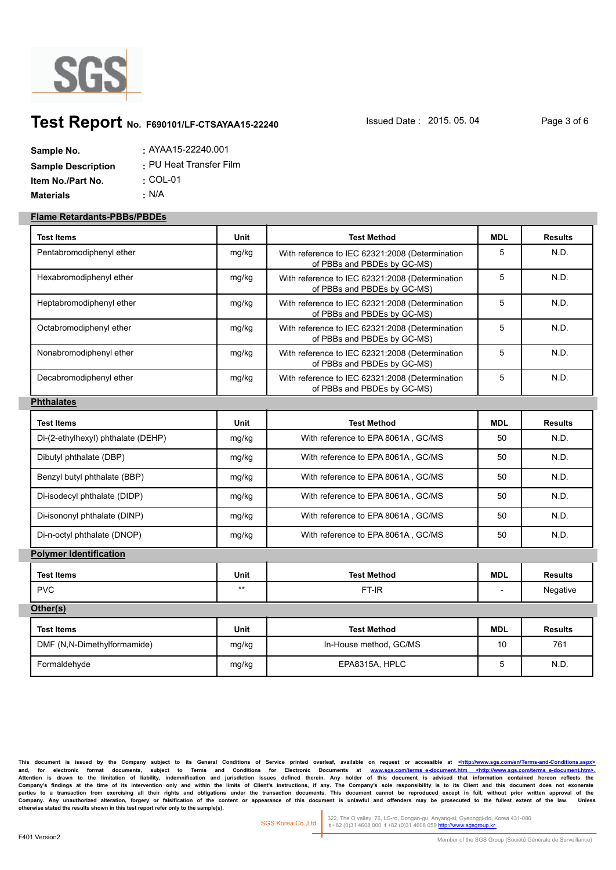

# **Test Report** No. F690101/LF-CTSAYAA15-22240 **Issued Date : 2015. 05. 04** Page 3 of 6

| Sample No.                | $:$ AYAA15-22240.001    |
|---------------------------|-------------------------|
| <b>Sample Description</b> | : PU Heat Transfer Film |
| Item No./Part No.         | $\cdot$ COL-01          |
| <b>Materials</b>          | • N/A                   |

#### **Flame Retardants-PBBs/PBDEs**

| <b>Test Items</b>                  | Unit        | <b>Test Method</b>                                                             | <b>MDL</b> | <b>Results</b> |
|------------------------------------|-------------|--------------------------------------------------------------------------------|------------|----------------|
| Pentabromodiphenyl ether           | mg/kg       | With reference to IEC 62321:2008 (Determination<br>of PBBs and PBDEs by GC-MS) | 5          | N.D.           |
| Hexabromodiphenyl ether            | mg/kg       | With reference to IEC 62321:2008 (Determination<br>of PBBs and PBDEs by GC-MS) | 5          | N.D.           |
| Heptabromodiphenyl ether           | mg/kg       | With reference to IEC 62321:2008 (Determination<br>of PBBs and PBDEs by GC-MS) | 5          | N.D.           |
| Octabromodiphenyl ether            | mg/kg       | With reference to IEC 62321:2008 (Determination<br>of PBBs and PBDEs by GC-MS) | 5          | N.D.           |
| Nonabromodiphenyl ether            | mg/kg       | With reference to IEC 62321:2008 (Determination<br>of PBBs and PBDEs by GC-MS) | 5          | N.D.           |
| Decabromodiphenyl ether            | mg/kg       | With reference to IEC 62321:2008 (Determination<br>of PBBs and PBDEs by GC-MS) | 5          | N.D.           |
| <b>Phthalates</b>                  |             |                                                                                |            |                |
| <b>Test Items</b>                  | <b>Unit</b> | <b>Test Method</b>                                                             | <b>MDL</b> | <b>Results</b> |
| Di-(2-ethylhexyl) phthalate (DEHP) | mg/kg       | With reference to EPA 8061A, GC/MS                                             | 50         | N.D.           |
| Dibutyl phthalate (DBP)            | mg/kg       | With reference to EPA 8061A, GC/MS                                             | 50         | N.D.           |
| Benzyl butyl phthalate (BBP)       | mg/kg       | With reference to EPA 8061A, GC/MS                                             | 50         | N.D.           |
| Di-isodecyl phthalate (DIDP)       | mg/kg       | With reference to EPA 8061A, GC/MS                                             | 50         | N.D.           |
| Di-isononyl phthalate (DINP)       | mg/kg       | With reference to EPA 8061A, GC/MS                                             | 50         | N.D.           |
| Di-n-octyl phthalate (DNOP)        | mg/kg       | With reference to EPA 8061A, GC/MS                                             | 50         | N.D.           |
| <b>Polymer Identification</b>      |             |                                                                                |            |                |
| <b>Test Items</b>                  | Unit        | <b>Test Method</b>                                                             | <b>MDL</b> | <b>Results</b> |
| <b>PVC</b>                         | $***$       | FT-IR                                                                          |            | Negative       |
| Other(s)                           |             |                                                                                |            |                |
| <b>Test Items</b>                  | Unit        | <b>Test Method</b>                                                             | <b>MDL</b> | <b>Results</b> |
| DMF (N,N-Dimethylformamide)        | mg/kg       | In-House method. GC/MS                                                         | 10         | 761            |
| Formaldehvde                       | mg/kg       | EPA8315A, HPLC                                                                 | 5          | N.D.           |

This document is issued by the Company subject to its General Conditions of Service printed overleaf, available on request or accessible at <http://www.sgs.com/en/Terms-and-C and, for electronic format documents, subject to Terms and Conditions for Electronic Documents at <u>www.sgs.com/terms\_e-document.htm <http://www.sgs.com/terms\_e-document.htm>-</u><br>Attention is drawn to the limitation of liabil Company's findings at the time of its intervention only and within the limits of Client's instructions, if any. The Company's sole responsibility is to its Client and this document does not exonerate<br>parties to a transacti Company. Any unauthorized alteration, forgery or falsification of the content or appearance of this document is unlawful and offenders may be prosecuted to the fullest extent of the law. Unless otherwise stated the results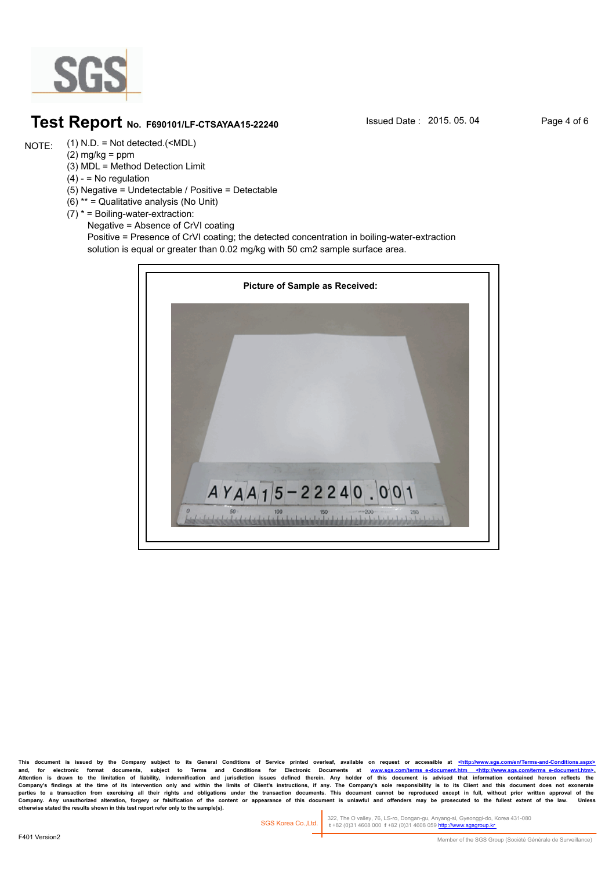

#### **Test Report** No. F690101/LF-CTSAYAA15-22240 **Issued Date : 2015. 05. 04** Page 4 of 6

(1) N.D. = Not detected.(<MDL) NOTE:

 $(2)$  mg/kg = ppm (3) MDL = Method Detection Limit

 $(4) - 10$  regulation

- (5) Negative = Undetectable / Positive = Detectable
- (6) \*\* = Qualitative analysis (No Unit)

(7) \* = Boiling-water-extraction:

 Negative = Absence of CrVI coating Positive = Presence of CrVI coating; the detected concentration in boiling-water-extraction solution is equal or greater than 0.02 mg/kg with 50 cm2 sample surface area.



This document is issued by the Company subject to its General Conditions of Service printed overleaf, available on request or accessible at <http://www. and, for electronic format documents, subject to Terms and Conditions for Electronic Documents at <u>www.sgs.com/terms\_e-document.htm <http://www.sgs.com/terms\_e-document.htm>-</u><br>Attention is drawn to the limitation of liabil Company's findings at the time of its intervention only and within the limits of Client's instructions, if any. The Company's sole responsibility is to its Client and this document does not exonerate<br>parties to a transacti Company. Any unauthorized alteration, forgery or falsification of the content or appearance of this document is unlawful and offenders may be prosecuted to the fullest extent of the law.<br>otherwise stated the results shown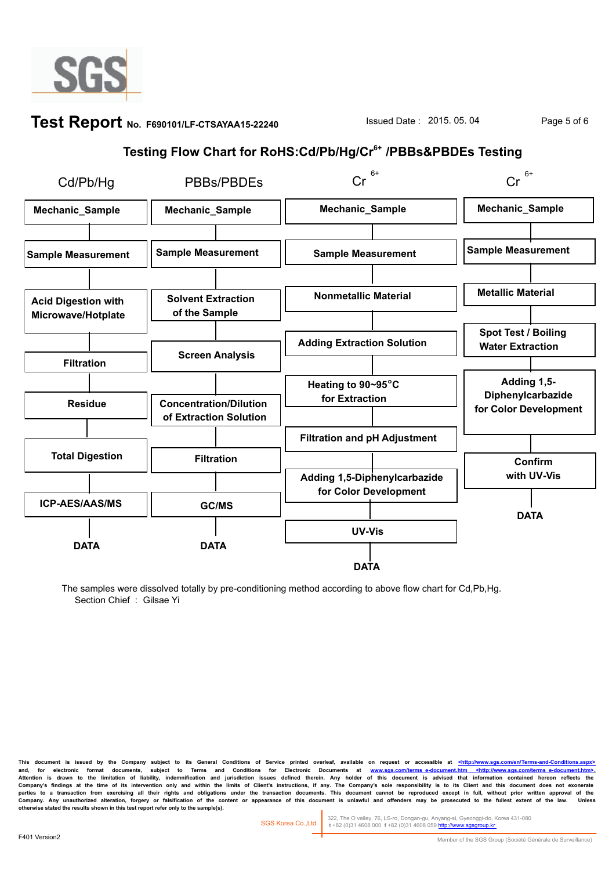

#### **Test Report** No. F690101/LF-CTSAYAA15-22240 **Issued Date : 2015. 05. 04** Page 5 of 6

## **Testing Flow Chart for RoHS:Cd/Pb/Hg/Cr6+ /PBBs&PBDEs Testing**



The samples were dissolved totally by pre-conditioning method according to above flow chart for Cd,Pb,Hg. Section Chief : Gilsae Yi

This document is issued by the Company subject to its General Conditions of Service printed overleaf, available on request or accessible at <http://www. and, for electronic format documents, subject to Terms and Conditions for Electronic Documents at <u>www.sgs.com/terms\_e-document.htm <http://www.sgs.com/terms\_e-document.htm>-</u><br>Attention is drawn to the limitation of liabil Company's findings at the time of its intervention only and within the limits of Client's instructions, if any. The Company's sole responsibility is to its Client and this document does not exonerate<br>parties to a transacti Company. Any unauthorized alteration, forgery or falsification of the content or appearance of this document is unlawful and offenders may be prosecuted to the fullest extent of the law.<br>otherwise stated the results shown